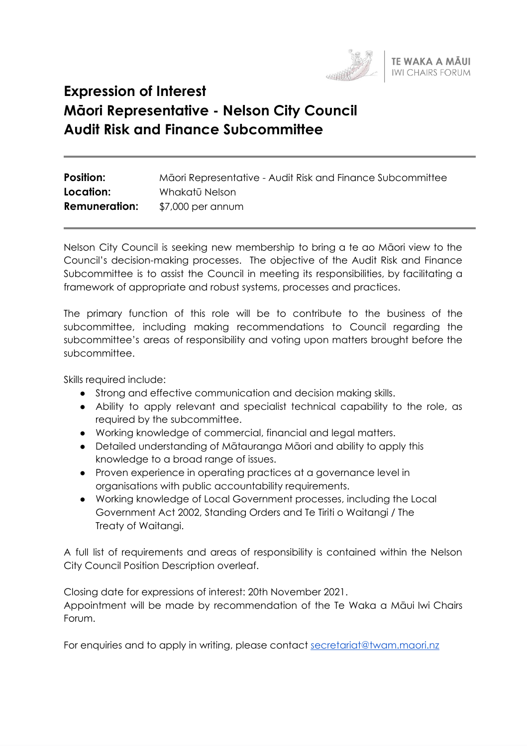

# **Expression of Interest Māori Representative - Nelson City Council Audit Risk and Finance Subcommittee**

| <b>Position:</b>     | Māori Representative - Audit Risk and Finance Subcommittee |
|----------------------|------------------------------------------------------------|
| Location:            | Whakatū Nelson                                             |
| <b>Remuneration:</b> | \$7,000 per annum                                          |

Nelson City Council is seeking new membership to bring a te ao Māori view to the Council's decision-making processes. The objective of the Audit Risk and Finance Subcommittee is to assist the Council in meeting its responsibilities, by facilitating a framework of appropriate and robust systems, processes and practices.

The primary function of this role will be to contribute to the business of the subcommittee, including making recommendations to Council regarding the subcommittee's areas of responsibility and voting upon matters brought before the subcommittee.

Skills required include:

- Strong and effective communication and decision making skills.
- Ability to apply relevant and specialist technical capability to the role, as required by the subcommittee.
- Working knowledge of commercial, financial and legal matters.
- Detailed understanding of Mātauranga Māori and ability to apply this knowledge to a broad range of issues.
- Proven experience in operating practices at a governance level in organisations with public accountability requirements.
- Working knowledge of Local Government processes, including the Local Government Act 2002, Standing Orders and Te Tiriti o Waitangi / The Treaty of Waitangi.

A full list of requirements and areas of responsibility is contained within the Nelson City Council Position Description overleaf.

Closing date for expressions of interest: 20th November 2021.

Appointment will be made by recommendation of the Te Waka a Māui Iwi Chairs Forum.

For enquiries and to apply in writing, please contact [secretariat@twam.maori.nz](mailto:secretariat@twam.maori.nz)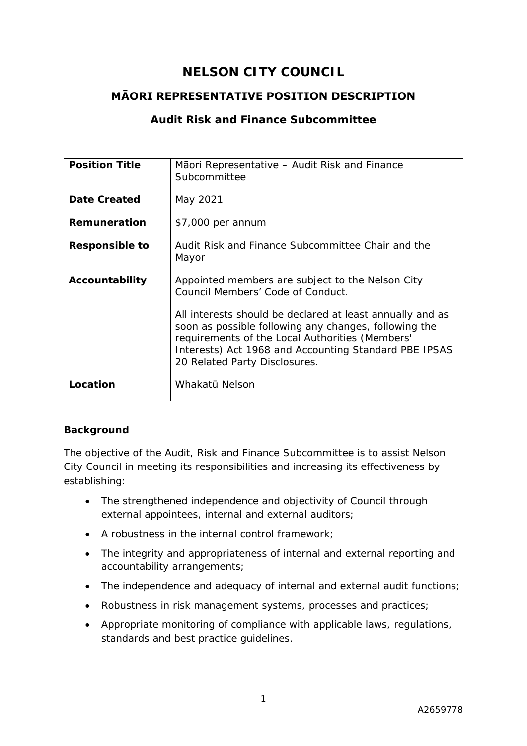# **NELSON CITY COUNCIL**

# **MĀORI REPRESENTATIVE POSITION DESCRIPTION**

# **Audit Risk and Finance Subcommittee**

| <b>Position Title</b> | Māori Representative – Audit Risk and Finance<br>Subcommittee                                                                                                                                                                                                                                                                                            |
|-----------------------|----------------------------------------------------------------------------------------------------------------------------------------------------------------------------------------------------------------------------------------------------------------------------------------------------------------------------------------------------------|
| <b>Date Created</b>   | May 2021                                                                                                                                                                                                                                                                                                                                                 |
| Remuneration          | \$7,000 per annum                                                                                                                                                                                                                                                                                                                                        |
| <b>Responsible to</b> | Audit Risk and Finance Subcommittee Chair and the<br>Mayor                                                                                                                                                                                                                                                                                               |
| Accountability        | Appointed members are subject to the Nelson City<br>Council Members' Code of Conduct.<br>All interests should be declared at least annually and as<br>soon as possible following any changes, following the<br>requirements of the Local Authorities (Members'<br>Interests) Act 1968 and Accounting Standard PBE IPSAS<br>20 Related Party Disclosures. |
| Location              | Whakatū Nelson                                                                                                                                                                                                                                                                                                                                           |

#### **Background**

The objective of the Audit, Risk and Finance Subcommittee is to assist Nelson City Council in meeting its responsibilities and increasing its effectiveness by establishing:

- The strengthened independence and objectivity of Council through external appointees, internal and external auditors;
- A robustness in the internal control framework;
- The integrity and appropriateness of internal and external reporting and accountability arrangements;
- The independence and adequacy of internal and external audit functions;
- Robustness in risk management systems, processes and practices;
- Appropriate monitoring of compliance with applicable laws, regulations, standards and best practice guidelines.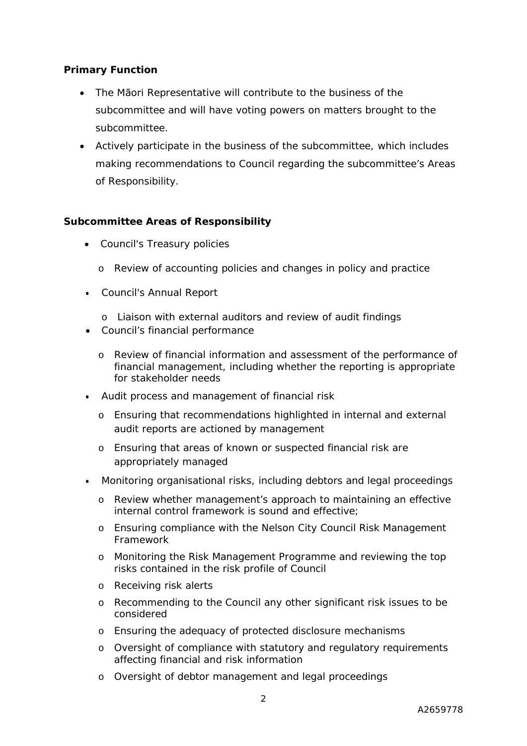#### **Primary Function**

- The Māori Representative will contribute to the business of the subcommittee and will have voting powers on matters brought to the subcommittee.
- Actively participate in the business of the subcommittee, which includes making recommendations to Council regarding the subcommittee's Areas of Responsibility.

#### **Subcommittee Areas of Responsibility**

- *Council's Treasury policies*
	- o Review of accounting policies and changes in policy and practice
- *Council's Annual Report*
	- o Liaison with external auditors and review of audit findings
- *Council's financial performance*
	- o Review of financial information and assessment of the performance of financial management, including whether the reporting is appropriate for stakeholder needs
- *Audit process and management of financial risk*
	- o Ensuring that recommendations highlighted in internal and external audit reports are actioned by management
	- o Ensuring that areas of known or suspected financial risk are appropriately managed
- *Monitoring organisational risks, including debtors and legal proceedings*
	- o Review whether management's approach to maintaining an effective internal control framework is sound and effective;
	- o Ensuring compliance with the Nelson City Council Risk Management Framework
	- o Monitoring the Risk Management Programme and reviewing the top risks contained in the risk profile of Council
	- o Receiving risk alerts
	- o Recommending to the Council any other significant risk issues to be considered
	- o Ensuring the adequacy of protected disclosure mechanisms
	- o Oversight of compliance with statutory and regulatory requirements affecting financial and risk information
	- o Oversight of debtor management and legal proceedings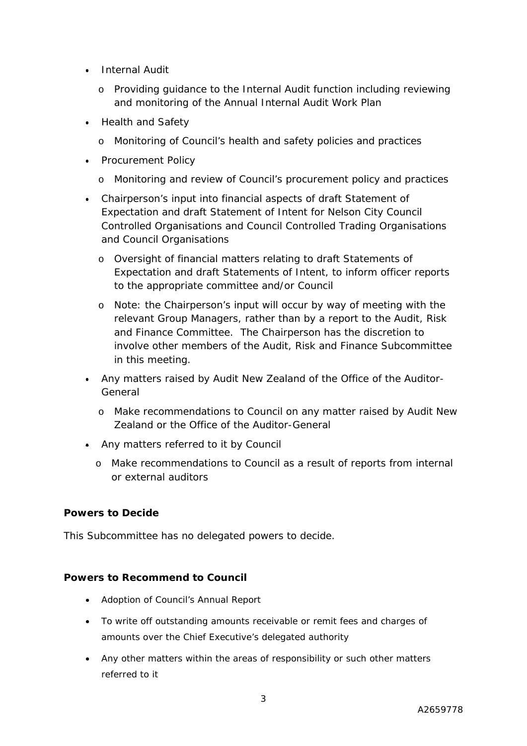- *Internal Audit* 
	- o Providing guidance to the Internal Audit function including reviewing and monitoring of the Annual Internal Audit Work Plan
- *Health and Safety*
	- o Monitoring of Council's health and safety policies and practices
- *Procurement Policy*
	- o Monitoring and review of Council's procurement policy and practices
- *Chairperson's input into financial aspects of draft Statement of Expectation and draft Statement of Intent for Nelson City Council Controlled Organisations and Council Controlled Trading Organisations and Council Organisations*
	- o Oversight of financial matters relating to draft Statements of Expectation and draft Statements of Intent, to inform officer reports to the appropriate committee and/or Council
	- o Note: the Chairperson's input will occur by way of meeting with the relevant Group Managers, rather than by a report to the Audit, Risk and Finance Committee. The Chairperson has the discretion to involve other members of the Audit, Risk and Finance Subcommittee in this meeting.
- *Any matters raised by Audit New Zealand of the Office of the Auditor-General*
	- o Make recommendations to Council on any matter raised by Audit New Zealand or the Office of the Auditor-General
- *Any matters referred to it by Council*
	- o Make recommendations to Council as a result of reports from internal or external auditors

#### **Powers to Decide**

This Subcommittee has no delegated powers to decide.

#### **Powers to Recommend to Council**

- Adoption of Council's Annual Report
- To write off outstanding amounts receivable or remit fees and charges of amounts over the Chief Executive's delegated authority
- Any other matters within the areas of responsibility or such other matters referred to it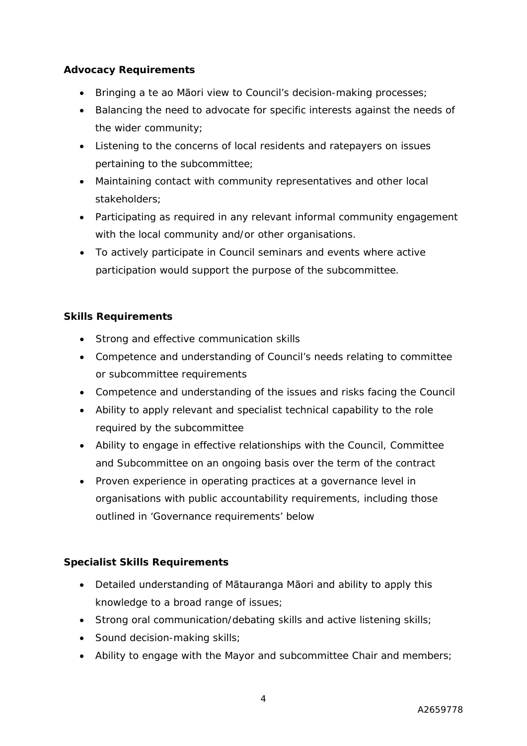#### **Advocacy Requirements**

- Bringing a te ao Māori view to Council's decision-making processes;
- Balancing the need to advocate for specific interests against the needs of the wider community;
- Listening to the concerns of local residents and ratepayers on issues pertaining to the subcommittee;
- Maintaining contact with community representatives and other local stakeholders;
- Participating as required in any relevant informal community engagement with the local community and/or other organisations.
- To actively participate in Council seminars and events where active participation would support the purpose of the subcommittee.

# **Skills Requirements**

- Strong and effective communication skills
- Competence and understanding of Council's needs relating to committee or subcommittee requirements
- Competence and understanding of the issues and risks facing the Council
- Ability to apply relevant and specialist technical capability to the role required by the subcommittee
- Ability to engage in effective relationships with the Council, Committee and Subcommittee on an ongoing basis over the term of the contract
- Proven experience in operating practices at a governance level in organisations with public accountability requirements, including those outlined in 'Governance requirements' below

# **Specialist Skills Requirements**

- Detailed understanding of Mātauranga Māori and ability to apply this knowledge to a broad range of issues;
- Strong oral communication/debating skills and active listening skills;
- Sound decision-making skills:
- Ability to engage with the Mayor and subcommittee Chair and members;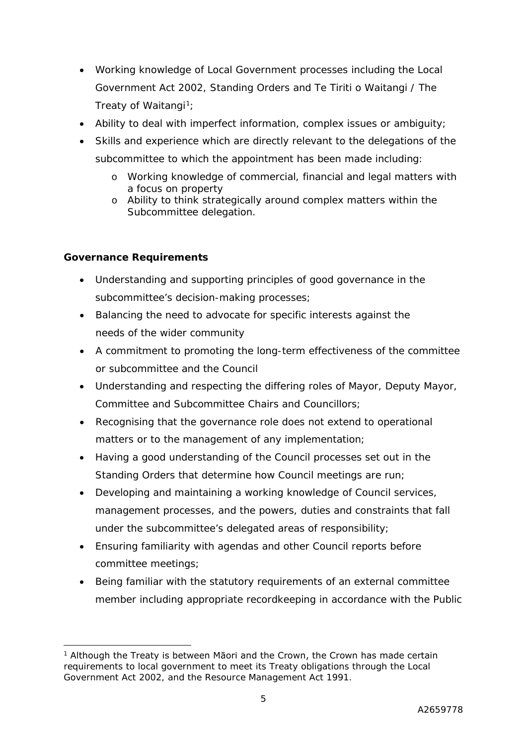- Working knowledge of Local Government processes including the Local Government Act 2002, Standing Orders and Te Tiriti o Waitangi / The Treaty of Waitangi<sup>1</sup>;
- Ability to deal with imperfect information, complex issues or ambiguity;
- Skills and experience which are directly relevant to the delegations of the subcommittee to which the appointment has been made including:
	- o Working knowledge of commercial, financial and legal matters with a focus on property
	- o Ability to think strategically around complex matters within the Subcommittee delegation.

## **Governance Requirements**

- Understanding and supporting principles of good governance in the subcommittee's decision-making processes;
- Balancing the need to advocate for specific interests against the needs of the wider community
- A commitment to promoting the long-term effectiveness of the committee or subcommittee and the Council
- Understanding and respecting the differing roles of Mayor, Deputy Mayor, Committee and Subcommittee Chairs and Councillors;
- Recognising that the governance role does not extend to operational matters or to the management of any implementation;
- Having a good understanding of the Council processes set out in the Standing Orders that determine how Council meetings are run;
- Developing and maintaining a working knowledge of Council services, management processes, and the powers, duties and constraints that fall under the subcommittee's delegated areas of responsibility;
- Ensuring familiarity with agendas and other Council reports before committee meetings;
- Being familiar with the statutory requirements of an external committee member including appropriate recordkeeping in accordance with the Public

<sup>&</sup>lt;sup>1</sup> Although the Treaty is between Māori and the Crown, the Crown has made certain requirements to local government to meet its Treaty obligations through the Local Government Act 2002, and the Resource Management Act 1991.